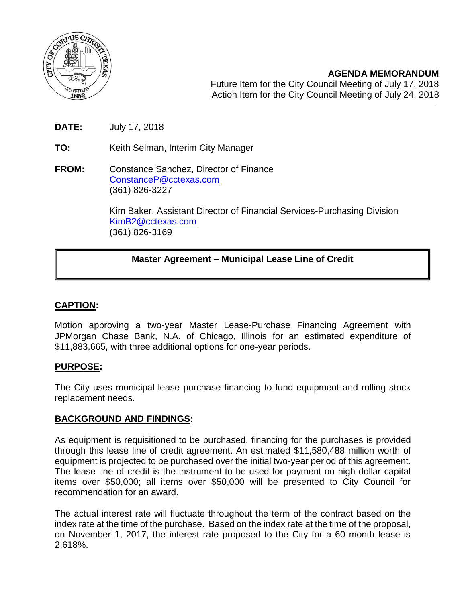

- **DATE:** July 17, 2018
- **TO:** Keith Selman, Interim City Manager
- **FROM:** Constance Sanchez, Director of Finance [ConstanceP@cctexas.com](mailto:ConstanceP@cctexas.com) (361) 826-3227

Kim Baker, Assistant Director of Financial Services-Purchasing Division [KimB2@cctexas.com](mailto:KimB2@cctexas.com) (361) 826-3169

# **Master Agreement – Municipal Lease Line of Credit**

# **CAPTION:**

Ī

Motion approving a two-year Master Lease-Purchase Financing Agreement with JPMorgan Chase Bank, N.A. of Chicago, Illinois for an estimated expenditure of \$11,883,665, with three additional options for one-year periods.

#### **PURPOSE:**

The City uses municipal lease purchase financing to fund equipment and rolling stock replacement needs.

#### **BACKGROUND AND FINDINGS:**

As equipment is requisitioned to be purchased, financing for the purchases is provided through this lease line of credit agreement. An estimated \$11,580,488 million worth of equipment is projected to be purchased over the initial two-year period of this agreement. The lease line of credit is the instrument to be used for payment on high dollar capital items over \$50,000; all items over \$50,000 will be presented to City Council for recommendation for an award.

The actual interest rate will fluctuate throughout the term of the contract based on the index rate at the time of the purchase. Based on the index rate at the time of the proposal, on November 1, 2017, the interest rate proposed to the City for a 60 month lease is 2.618%.